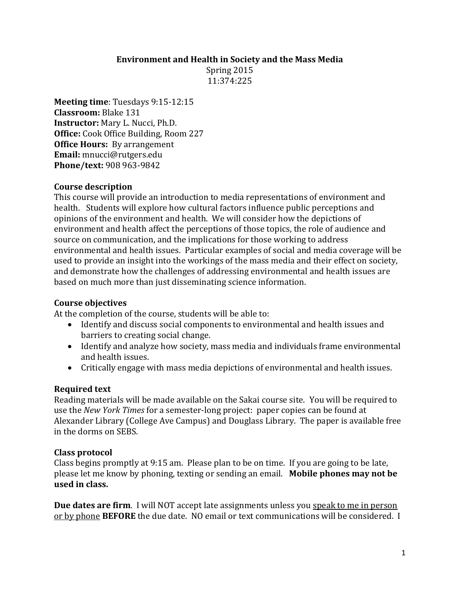#### **Environment and Health in Society and the Mass Media**

Spring 2015 11:374:225

**Meeting time**: Tuesdays 9:15-12:15 **Classroom:** Blake 131 **Instructor:** Mary L. Nucci, Ph.D. **Office:** Cook Office Building, Room 227 **Office Hours:** By arrangement **Email:** mnucci@rutgers.edu **Phone/text:** 908 963-9842

#### **Course description**

This course will provide an introduction to media representations of environment and health. Students will explore how cultural factors influence public perceptions and opinions of the environment and health. We will consider how the depictions of environment and health affect the perceptions of those topics, the role of audience and source on communication, and the implications for those working to address environmental and health issues. Particular examples of social and media coverage will be used to provide an insight into the workings of the mass media and their effect on society, and demonstrate how the challenges of addressing environmental and health issues are based on much more than just disseminating science information.

## **Course objectives**

At the completion of the course, students will be able to:

- Identify and discuss social components to environmental and health issues and barriers to creating social change.
- Identify and analyze how society, mass media and individuals frame environmental and health issues.
- Critically engage with mass media depictions of environmental and health issues.

## **Required text**

Reading materials will be made available on the Sakai course site. You will be required to use the *New York Times* for a semester-long project: paper copies can be found at Alexander Library (College Ave Campus) and Douglass Library. The paper is available free in the dorms on SEBS.

## **Class protocol**

Class begins promptly at 9:15 am. Please plan to be on time. If you are going to be late, please let me know by phoning, texting or sending an email. **Mobile phones may not be used in class.**

**Due dates are firm**. I will NOT accept late assignments unless you speak to me in person or by phone **BEFORE** the due date. NO email or text communications will be considered. I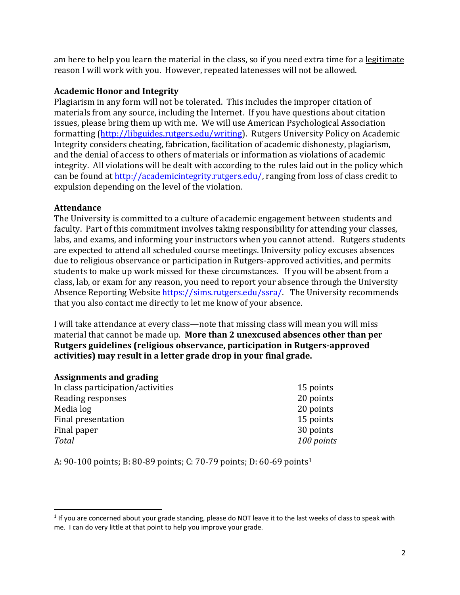am here to help you learn the material in the class, so if you need extra time for a legitimate reason I will work with you. However, repeated latenesses will not be allowed.

# **Academic Honor and Integrity**

Plagiarism in any form will not be tolerated. This includes the improper citation of materials from any source, including the Internet. If you have questions about citation issues, please bring them up with me. We will use American Psychological Association formatting [\(http://libguides.rutgers.edu/writing\)](http://libguides.rutgers.edu/writing). Rutgers University Policy on Academic Integrity considers cheating, fabrication, facilitation of academic dishonesty, plagiarism, and the denial of access to others of materials or information as violations of academic integrity. All violations will be dealt with according to the rules laid out in the policy which can be found a[t http://academicintegrity.rutgers.edu/,](http://academicintegrity.rutgers.edu/) ranging from loss of class credit to expulsion depending on the level of the violation.

## **Attendance**

The University is committed to a culture of academic engagement between students and faculty. Part of this commitment involves taking responsibility for attending your classes, labs, and exams, and informing your instructors when you cannot attend. Rutgers students are expected to attend all scheduled course meetings. University policy excuses absences due to religious observance or participation in Rutgers-approved activities, and permits students to make up work missed for these circumstances. If you will be absent from a class, lab, or exam for any reason, you need to report your absence through the University Absence Reporting Website [https://sims.rutgers.edu/ssra/.](https://sims.rutgers.edu/ssra/) The University recommends that you also contact me directly to let me know of your absence.

I will take attendance at every class—note that missing class will mean you will miss material that cannot be made up. **More than 2 unexcused absences other than per Rutgers guidelines (religious observance, participation in Rutgers-approved activities) may result in a letter grade drop in your final grade.**

## **Assignments and grading**

 $\overline{\phantom{a}}$ 

| In class participation/activities | 15 points  |
|-----------------------------------|------------|
| Reading responses                 | 20 points  |
| Media log                         | 20 points  |
| Final presentation                | 15 points  |
| Final paper                       | 30 points  |
| <b>Total</b>                      | 100 points |
|                                   |            |

A: 90-100 points; B: 80-89 points; C: 70-79 points; D: 60-69 points<sup>1</sup>

 $1$  If you are concerned about your grade standing, please do NOT leave it to the last weeks of class to speak with me. I can do very little at that point to help you improve your grade.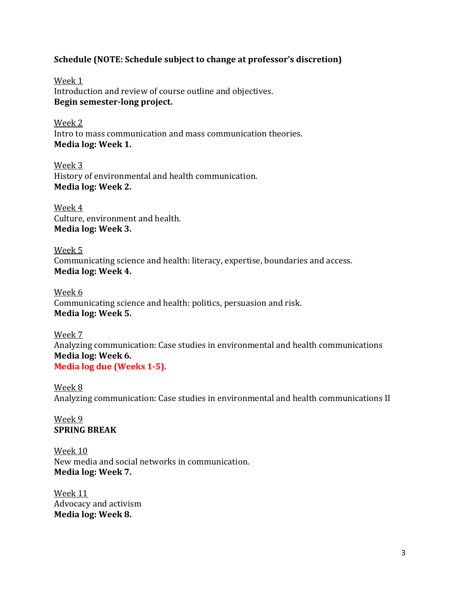#### **Schedule (NOTE: Schedule subject to change at professor's discretion)**

Week 1 Introduction and review of course outline and objectives. **Begin semester-long project.**

Week 2 Intro to mass communication and mass communication theories. **Media log: Week 1.**

Week 3 History of environmental and health communication. **Media log: Week 2.**

Week 4 Culture, environment and health. **Media log: Week 3.**

Week 5 Communicating science and health: literacy, expertise, boundaries and access. **Media log: Week 4.**

Week 6 Communicating science and health: politics, persuasion and risk. **Media log: Week 5.**

Week 7 Analyzing communication: Case studies in environmental and health communications **Media log: Week 6. Media log due (Weeks 1-5).**

Week 8 Analyzing communication: Case studies in environmental and health communications II

Week 9 **SPRING BREAK**

Week 10 New media and social networks in communication. **Media log: Week 7.**

Week 11 Advocacy and activism **Media log: Week 8.**